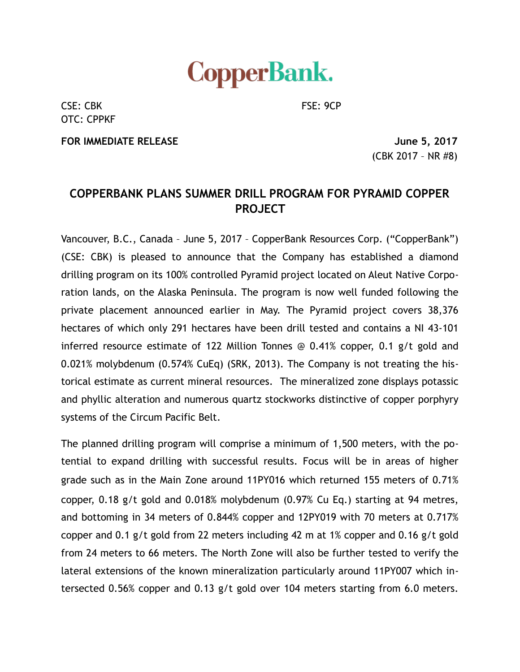

CSE: CBK FSE: 9CP OTC: CPPKF

**FOR IMMEDIATE RELEASE June 5, 2017** 

(CBK 2017 – NR #8)

## **COPPERBANK PLANS SUMMER DRILL PROGRAM FOR PYRAMID COPPER PROJECT**

Vancouver, B.C., Canada – June 5, 2017 – CopperBank Resources Corp. ("CopperBank") (CSE: CBK) is pleased to announce that the Company has established a diamond drilling program on its 100% controlled Pyramid project located on Aleut Native Corporation lands, on the Alaska Peninsula. The program is now well funded following the private placement announced earlier in May. The Pyramid project covers 38,376 hectares of which only 291 hectares have been drill tested and contains a NI 43-101 inferred resource estimate of 122 Million Tonnes @ 0.41% copper, 0.1 g/t gold and 0.021% molybdenum (0.574% CuEq) (SRK, 2013). The Company is not treating the historical estimate as current mineral resources. The mineralized zone displays potassic and phyllic alteration and numerous quartz stockworks distinctive of copper porphyry systems of the Circum Pacific Belt.

The planned drilling program will comprise a minimum of 1,500 meters, with the potential to expand drilling with successful results. Focus will be in areas of higher grade such as in the Main Zone around 11PY016 which returned 155 meters of 0.71% copper, 0.18 g/t gold and 0.018% molybdenum (0.97% Cu Eq.) starting at 94 metres, and bottoming in 34 meters of 0.844% copper and 12PY019 with 70 meters at 0.717% copper and 0.1 g/t gold from 22 meters including 42 m at 1% copper and 0.16 g/t gold from 24 meters to 66 meters. The North Zone will also be further tested to verify the lateral extensions of the known mineralization particularly around 11PY007 which intersected 0.56% copper and 0.13 g/t gold over 104 meters starting from 6.0 meters.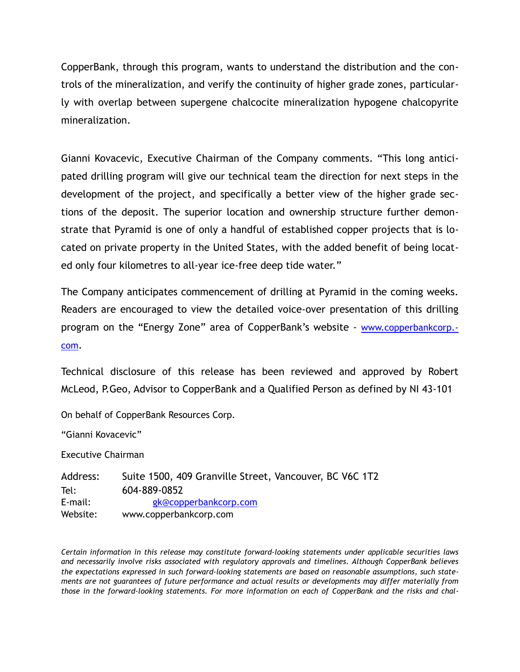CopperBank, through this program, wants to understand the distribution and the controls of the mineralization, and verify the continuity of higher grade zones, particularly with overlap between supergene chalcocite mineralization hypogene chalcopyrite mineralization.

Gianni Kovacevic, Executive Chairman of the Company comments. "This long anticipated drilling program will give our technical team the direction for next steps in the development of the project, and specifically a better view of the higher grade sections of the deposit. The superior location and ownership structure further demonstrate that Pyramid is one of only a handful of established copper projects that is located on private property in the United States, with the added benefit of being located only four kilometres to all-year ice-free deep tide water."

The Company anticipates commencement of drilling at Pyramid in the coming weeks. Readers are encouraged to view the detailed voice-over presentation of this drilling [program on the "Energy Zone" area of CopperBank's website - www.copperbankcorp.](http://www.copperbankcorp.com) com.

Technical disclosure of this release has been reviewed and approved by Robert McLeod, P.Geo, Advisor to CopperBank and a Qualified Person as defined by NI 43-101

On behalf of CopperBank Resources Corp.

"Gianni Kovacevic"

Executive Chairman

Address: Suite 1500, 409 Granville Street, Vancouver, BC V6C 1T2 Tel: 604-889-0852 E-mail: [gk@copperbankcorp.com](mailto:gk@copperbankcorp.com) Website: www.copperbankcorp.com

*Certain information in this release may constitute forward-looking statements under applicable securities laws and necessarily involve risks associated with regulatory approvals and timelines. Although CopperBank believes the expectations expressed in such forward-looking statements are based on reasonable assumptions, such statements are not guarantees of future performance and actual results or developments may differ materially from those in the forward-looking statements. For more information on each of CopperBank and the risks and chal-*